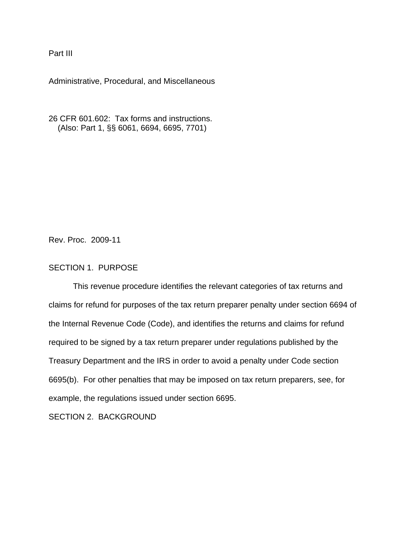Part III

Administrative, Procedural, and Miscellaneous

26 CFR 601.602: Tax forms and instructions. (Also: Part 1, §§ 6061, 6694, 6695, 7701)

Rev. Proc. 2009-11

# SECTION 1. PURPOSE

 This revenue procedure identifies the relevant categories of tax returns and claims for refund for purposes of the tax return preparer penalty under section 6694 of the Internal Revenue Code (Code), and identifies the returns and claims for refund required to be signed by a tax return preparer under regulations published by the Treasury Department and the IRS in order to avoid a penalty under Code section 6695(b). For other penalties that may be imposed on tax return preparers, see, for example, the regulations issued under section 6695.

SECTION 2. BACKGROUND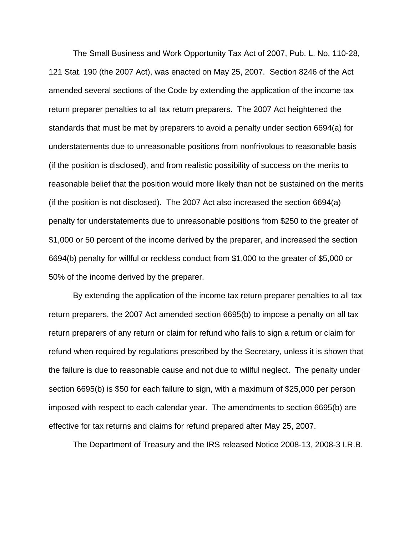The Small Business and Work Opportunity Tax Act of 2007, Pub. L. No. 110-28, 121 Stat. 190 (the 2007 Act), was enacted on May 25, 2007. Section 8246 of the Act amended several sections of the Code by extending the application of the income tax return preparer penalties to all tax return preparers. The 2007 Act heightened the standards that must be met by preparers to avoid a penalty under section 6694(a) for understatements due to unreasonable positions from nonfrivolous to reasonable basis (if the position is disclosed), and from realistic possibility of success on the merits to reasonable belief that the position would more likely than not be sustained on the merits (if the position is not disclosed). The 2007 Act also increased the section 6694(a) penalty for understatements due to unreasonable positions from \$250 to the greater of \$1,000 or 50 percent of the income derived by the preparer, and increased the section 6694(b) penalty for willful or reckless conduct from \$1,000 to the greater of \$5,000 or 50% of the income derived by the preparer.

 By extending the application of the income tax return preparer penalties to all tax return preparers, the 2007 Act amended section 6695(b) to impose a penalty on all tax return preparers of any return or claim for refund who fails to sign a return or claim for refund when required by regulations prescribed by the Secretary, unless it is shown that the failure is due to reasonable cause and not due to willful neglect. The penalty under section 6695(b) is \$50 for each failure to sign, with a maximum of \$25,000 per person imposed with respect to each calendar year. The amendments to section 6695(b) are effective for tax returns and claims for refund prepared after May 25, 2007.

The Department of Treasury and the IRS released Notice 2008-13, 2008-3 I.R.B.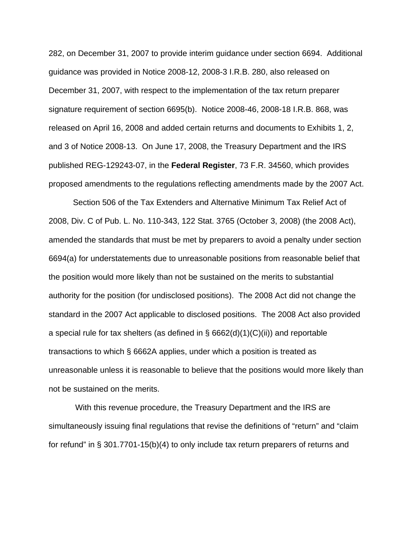282, on December 31, 2007 to provide interim guidance under section 6694. Additional guidance was provided in Notice 2008-12, 2008-3 I.R.B. 280, also released on December 31, 2007, with respect to the implementation of the tax return preparer signature requirement of section 6695(b). Notice 2008-46, 2008-18 I.R.B. 868, was released on April 16, 2008 and added certain returns and documents to Exhibits 1, 2, and 3 of Notice 2008-13. On June 17, 2008, the Treasury Department and the IRS published REG-129243-07, in the **Federal Register**, 73 F.R. 34560, which provides proposed amendments to the regulations reflecting amendments made by the 2007 Act.

Section 506 of the Tax Extenders and Alternative Minimum Tax Relief Act of 2008, Div. C of Pub. L. No. 110-343, 122 Stat. 3765 (October 3, 2008) (the 2008 Act), amended the standards that must be met by preparers to avoid a penalty under section 6694(a) for understatements due to unreasonable positions from reasonable belief that the position would more likely than not be sustained on the merits to substantial authority for the position (for undisclosed positions). The 2008 Act did not change the standard in the 2007 Act applicable to disclosed positions. The 2008 Act also provided a special rule for tax shelters (as defined in §  $6662(d)(1)(C)(ii)$ ) and reportable transactions to which § 6662A applies, under which a position is treated as unreasonable unless it is reasonable to believe that the positions would more likely than not be sustained on the merits.

 With this revenue procedure, the Treasury Department and the IRS are simultaneously issuing final regulations that revise the definitions of "return" and "claim for refund" in § 301.7701-15(b)(4) to only include tax return preparers of returns and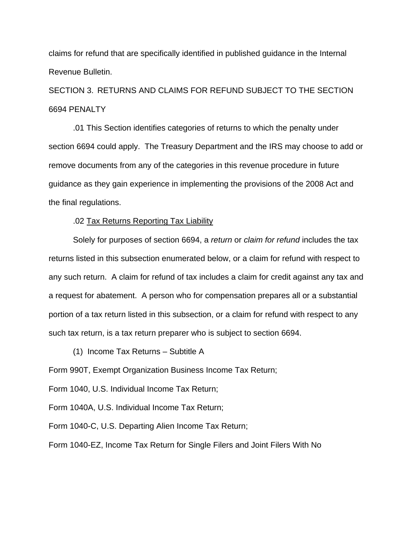claims for refund that are specifically identified in published guidance in the Internal Revenue Bulletin.

SECTION 3. RETURNS AND CLAIMS FOR REFUND SUBJECT TO THE SECTION 6694 PENALTY

.01 This Section identifies categories of returns to which the penalty under section 6694 could apply. The Treasury Department and the IRS may choose to add or remove documents from any of the categories in this revenue procedure in future guidance as they gain experience in implementing the provisions of the 2008 Act and the final regulations.

#### .02 Tax Returns Reporting Tax Liability

Solely for purposes of section 6694, a *return* or *claim for refund* includes the tax returns listed in this subsection enumerated below, or a claim for refund with respect to any such return. A claim for refund of tax includes a claim for credit against any tax and a request for abatement. A person who for compensation prepares all or a substantial portion of a tax return listed in this subsection, or a claim for refund with respect to any such tax return, is a tax return preparer who is subject to section 6694.

(1) Income Tax Returns – Subtitle A

Form 990T, Exempt Organization Business Income Tax Return;

Form 1040, U.S. Individual Income Tax Return;

Form 1040A, U.S. Individual Income Tax Return;

Form 1040-C, U.S. Departing Alien Income Tax Return;

Form 1040-EZ, Income Tax Return for Single Filers and Joint Filers With No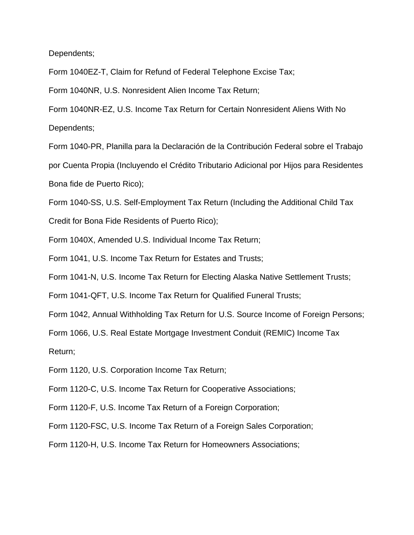Dependents;

Form 1040EZ-T, Claim for Refund of Federal Telephone Excise Tax;

Form 1040NR, U.S. Nonresident Alien Income Tax Return;

Form 1040NR-EZ, U.S. Income Tax Return for Certain Nonresident Aliens With No Dependents;

Form 1040-PR, Planilla para la Declaración de la Contribución Federal sobre el Trabajo por Cuenta Propia (Incluyendo el Crédito Tributario Adicional por Hijos para Residentes Bona fide de Puerto Rico);

Form 1040-SS, U.S. Self-Employment Tax Return (Including the Additional Child Tax

Credit for Bona Fide Residents of Puerto Rico);

Form 1040X, Amended U.S. Individual Income Tax Return;

Form 1041, U.S. Income Tax Return for Estates and Trusts;

Form 1041-N, U.S. Income Tax Return for Electing Alaska Native Settlement Trusts;

Form 1041-QFT, U.S. Income Tax Return for Qualified Funeral Trusts;

Form 1042, Annual Withholding Tax Return for U.S. Source Income of Foreign Persons;

Form 1066, U.S. Real Estate Mortgage Investment Conduit (REMIC) Income Tax

Return;

Form 1120, U.S. Corporation Income Tax Return;

Form 1120-C, U.S. Income Tax Return for Cooperative Associations;

Form 1120-F, U.S. Income Tax Return of a Foreign Corporation;

Form 1120-FSC, U.S. Income Tax Return of a Foreign Sales Corporation;

Form 1120-H, U.S. Income Tax Return for Homeowners Associations;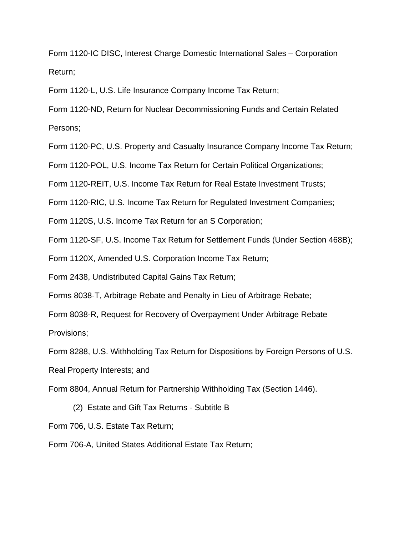Form 1120-IC DISC, Interest Charge Domestic International Sales – Corporation Return;

Form 1120-L, U.S. Life Insurance Company Income Tax Return;

Form 1120-ND, Return for Nuclear Decommissioning Funds and Certain Related Persons;

Form 1120-PC, U.S. Property and Casualty Insurance Company Income Tax Return;

Form 1120-POL, U.S. Income Tax Return for Certain Political Organizations;

Form 1120-REIT, U.S. Income Tax Return for Real Estate Investment Trusts;

Form 1120-RIC, U.S. Income Tax Return for Regulated Investment Companies;

Form 1120S, U.S. Income Tax Return for an S Corporation;

Form 1120-SF, U.S. Income Tax Return for Settlement Funds (Under Section 468B);

Form 1120X, Amended U.S. Corporation Income Tax Return;

Form 2438, Undistributed Capital Gains Tax Return;

Forms 8038-T, Arbitrage Rebate and Penalty in Lieu of Arbitrage Rebate;

Form 8038-R, Request for Recovery of Overpayment Under Arbitrage Rebate

Provisions;

Form 8288, U.S. Withholding Tax Return for Dispositions by Foreign Persons of U.S.

Real Property Interests; and

Form 8804, Annual Return for Partnership Withholding Tax (Section 1446).

(2) Estate and Gift Tax Returns - Subtitle B

Form 706, U.S. Estate Tax Return;

Form 706-A, United States Additional Estate Tax Return;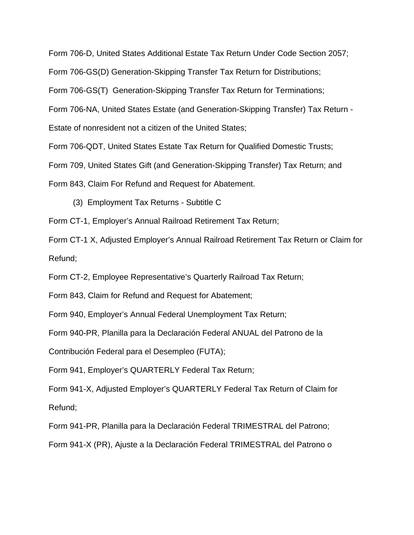Form 706-D, United States Additional Estate Tax Return Under Code Section 2057;

Form 706-GS(D) Generation-Skipping Transfer Tax Return for Distributions;

Form 706-GS(T) Generation-Skipping Transfer Tax Return for Terminations;

Form 706-NA, United States Estate (and Generation-Skipping Transfer) Tax Return -

Estate of nonresident not a citizen of the United States;

Form 706-QDT, United States Estate Tax Return for Qualified Domestic Trusts;

Form 709, United States Gift (and Generation-Skipping Transfer) Tax Return; and

Form 843, Claim For Refund and Request for Abatement.

(3) Employment Tax Returns - Subtitle C

Form CT-1, Employer's Annual Railroad Retirement Tax Return;

Form CT-1 X, Adjusted Employer's Annual Railroad Retirement Tax Return or Claim for Refund;

Form CT-2, Employee Representative's Quarterly Railroad Tax Return;

Form 843, Claim for Refund and Request for Abatement;

Form 940, Employer's Annual Federal Unemployment Tax Return;

Form 940-PR, Planilla para la Declaración Federal ANUAL del Patrono de la

Contribución Federal para el Desempleo (FUTA);

Form 941, Employer's QUARTERLY Federal Tax Return;

Form 941-X, Adjusted Employer's QUARTERLY Federal Tax Return of Claim for Refund;

Form 941-PR, Planilla para la Declaración Federal TRIMESTRAL del Patrono;

Form 941-X (PR), Ajuste a la Declaración Federal TRIMESTRAL del Patrono o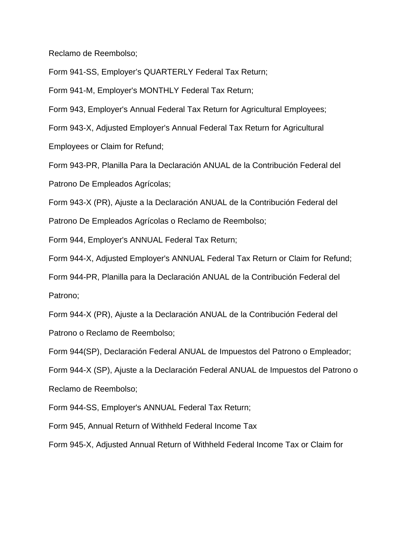Reclamo de Reembolso;

Form 941-SS, Employer's QUARTERLY Federal Tax Return;

Form 941-M, Employer's MONTHLY Federal Tax Return;

Form 943, Employer's Annual Federal Tax Return for Agricultural Employees;

Form 943-X, Adjusted Employer's Annual Federal Tax Return for Agricultural

Employees or Claim for Refund;

Form 943-PR, Planilla Para la Declaración ANUAL de la Contribución Federal del Patrono De Empleados Agrícolas;

Form 943-X (PR), Ajuste a la Declaración ANUAL de la Contribución Federal del

Patrono De Empleados Agrícolas o Reclamo de Reembolso;

Form 944, Employer's ANNUAL Federal Tax Return;

Form 944-X, Adjusted Employer's ANNUAL Federal Tax Return or Claim for Refund;

Form 944-PR, Planilla para la Declaración ANUAL de la Contribución Federal del Patrono;

Form 944-X (PR), Ajuste a la Declaración ANUAL de la Contribución Federal del Patrono o Reclamo de Reembolso;

Form 944(SP), Declaración Federal ANUAL de Impuestos del Patrono o Empleador;

Form 944-X (SP), Ajuste a la Declaración Federal ANUAL de Impuestos del Patrono o

Reclamo de Reembolso;

Form 944-SS, Employer's ANNUAL Federal Tax Return;

Form 945, Annual Return of Withheld Federal Income Tax

Form 945-X, Adjusted Annual Return of Withheld Federal Income Tax or Claim for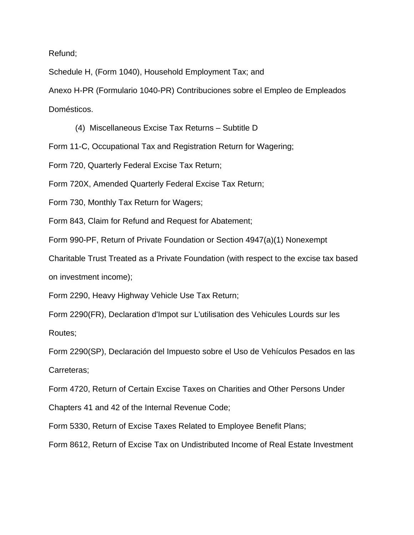Refund;

Schedule H, (Form 1040), Household Employment Tax; and

Anexo H-PR (Formulario 1040-PR) Contribuciones sobre el Empleo de Empleados

Domésticos.

(4) Miscellaneous Excise Tax Returns – Subtitle D

Form 11-C, Occupational Tax and Registration Return for Wagering;

Form 720, Quarterly Federal Excise Tax Return;

Form 720X, Amended Quarterly Federal Excise Tax Return;

Form 730, Monthly Tax Return for Wagers;

Form 843, Claim for Refund and Request for Abatement;

Form 990-PF, Return of Private Foundation or Section 4947(a)(1) Nonexempt

Charitable Trust Treated as a Private Foundation (with respect to the excise tax based on investment income);

Form 2290, Heavy Highway Vehicle Use Tax Return;

Form 2290(FR), Declaration d'Impot sur L'utilisation des Vehicules Lourds sur les Routes;

Form 2290(SP), Declaración del Impuesto sobre el Uso de Vehículos Pesados en las Carreteras;

Form 4720, Return of Certain Excise Taxes on Charities and Other Persons Under

Chapters 41 and 42 of the Internal Revenue Code;

Form 5330, Return of Excise Taxes Related to Employee Benefit Plans;

Form 8612, Return of Excise Tax on Undistributed Income of Real Estate Investment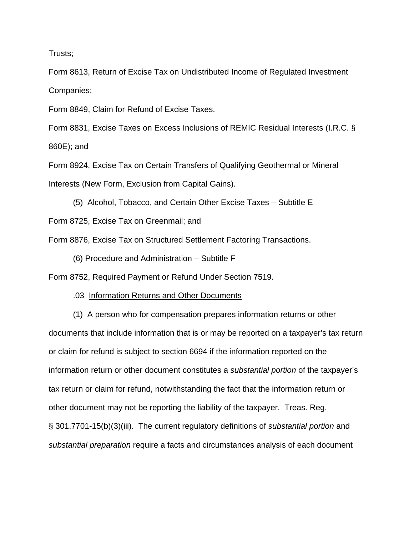Trusts;

Form 8613, Return of Excise Tax on Undistributed Income of Regulated Investment Companies;

Form 8849, Claim for Refund of Excise Taxes.

Form 8831, Excise Taxes on Excess Inclusions of REMIC Residual Interests (I.R.C. § 860E); and

Form 8924, Excise Tax on Certain Transfers of Qualifying Geothermal or Mineral Interests (New Form, Exclusion from Capital Gains).

(5) Alcohol, Tobacco, and Certain Other Excise Taxes – Subtitle E Form 8725, Excise Tax on Greenmail; and

Form 8876, Excise Tax on Structured Settlement Factoring Transactions.

(6) Procedure and Administration – Subtitle F

Form 8752, Required Payment or Refund Under Section 7519.

.03 Information Returns and Other Documents

(1) A person who for compensation prepares information returns or other documents that include information that is or may be reported on a taxpayer's tax return or claim for refund is subject to section 6694 if the information reported on the information return or other document constitutes a *substantial portion* of the taxpayer's tax return or claim for refund, notwithstanding the fact that the information return or other document may not be reporting the liability of the taxpayer. Treas. Reg. § 301.7701-15(b)(3)(iii). The current regulatory definitions of *substantial portion* and *substantial preparation* require a facts and circumstances analysis of each document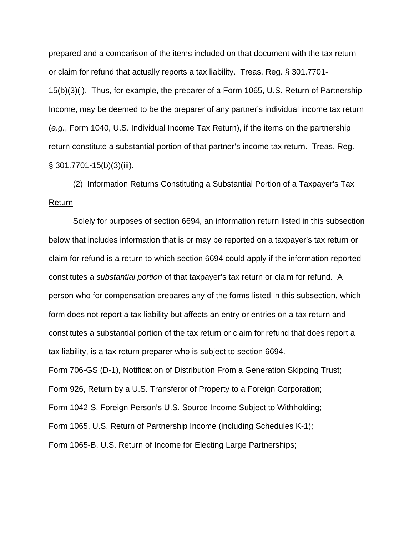prepared and a comparison of the items included on that document with the tax return or claim for refund that actually reports a tax liability. Treas. Reg. § 301.7701- 15(b)(3)(i). Thus, for example, the preparer of a Form 1065, U.S. Return of Partnership Income, may be deemed to be the preparer of any partner's individual income tax return (*e.g.*, Form 1040, U.S. Individual Income Tax Return), if the items on the partnership return constitute a substantial portion of that partner's income tax return. Treas. Reg. § 301.7701-15(b)(3)(iii).

(2) Information Returns Constituting a Substantial Portion of a Taxpayer's Tax Return

Solely for purposes of section 6694, an information return listed in this subsection below that includes information that is or may be reported on a taxpayer's tax return or claim for refund is a return to which section 6694 could apply if the information reported constitutes a *substantial portion* of that taxpayer's tax return or claim for refund. A person who for compensation prepares any of the forms listed in this subsection, which form does not report a tax liability but affects an entry or entries on a tax return and constitutes a substantial portion of the tax return or claim for refund that does report a tax liability, is a tax return preparer who is subject to section 6694. Form 706-GS (D-1), Notification of Distribution From a Generation Skipping Trust; Form 926, Return by a U.S. Transferor of Property to a Foreign Corporation; Form 1042-S, Foreign Person's U.S. Source Income Subject to Withholding; Form 1065, U.S. Return of Partnership Income (including Schedules K-1); Form 1065-B, U.S. Return of Income for Electing Large Partnerships;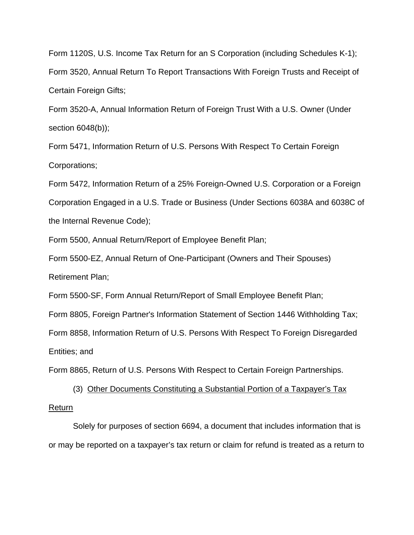Form 1120S, U.S. Income Tax Return for an S Corporation (including Schedules K-1); Form 3520, Annual Return To Report Transactions With Foreign Trusts and Receipt of Certain Foreign Gifts;

Form 3520-A, Annual Information Return of Foreign Trust With a U.S. Owner (Under section 6048(b));

Form 5471, Information Return of U.S. Persons With Respect To Certain Foreign Corporations;

Form 5472, Information Return of a 25% Foreign-Owned U.S. Corporation or a Foreign Corporation Engaged in a U.S. Trade or Business (Under Sections 6038A and 6038C of the Internal Revenue Code);

Form 5500, Annual Return/Report of Employee Benefit Plan;

Form 5500-EZ, Annual Return of One-Participant (Owners and Their Spouses) Retirement Plan;

Form 5500-SF, Form Annual Return/Report of Small Employee Benefit Plan;

Form 8805, Foreign Partner's Information Statement of Section 1446 Withholding Tax;

Form 8858, Information Return of U.S. Persons With Respect To Foreign Disregarded Entities; and

Form 8865, Return of U.S. Persons With Respect to Certain Foreign Partnerships.

(3) Other Documents Constituting a Substantial Portion of a Taxpayer's Tax Return

Solely for purposes of section 6694, a document that includes information that is or may be reported on a taxpayer's tax return or claim for refund is treated as a return to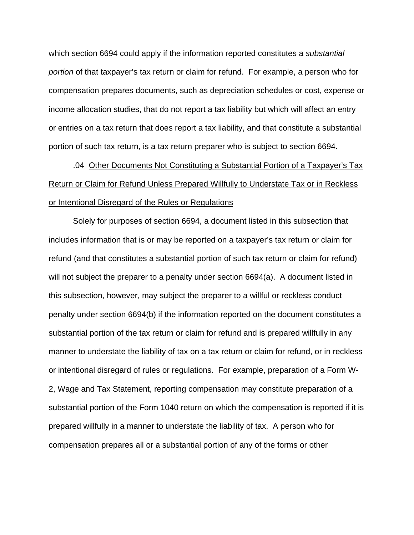which section 6694 could apply if the information reported constitutes a *substantial portion* of that taxpayer's tax return or claim for refund. For example, a person who for compensation prepares documents, such as depreciation schedules or cost, expense or income allocation studies, that do not report a tax liability but which will affect an entry or entries on a tax return that does report a tax liability, and that constitute a substantial portion of such tax return, is a tax return preparer who is subject to section 6694.

.04 Other Documents Not Constituting a Substantial Portion of a Taxpayer's Tax Return or Claim for Refund Unless Prepared Willfully to Understate Tax or in Reckless or Intentional Disregard of the Rules or Regulations

Solely for purposes of section 6694, a document listed in this subsection that includes information that is or may be reported on a taxpayer's tax return or claim for refund (and that constitutes a substantial portion of such tax return or claim for refund) will not subject the preparer to a penalty under section 6694(a). A document listed in this subsection, however, may subject the preparer to a willful or reckless conduct penalty under section 6694(b) if the information reported on the document constitutes a substantial portion of the tax return or claim for refund and is prepared willfully in any manner to understate the liability of tax on a tax return or claim for refund, or in reckless or intentional disregard of rules or regulations. For example, preparation of a Form W-2, Wage and Tax Statement, reporting compensation may constitute preparation of a substantial portion of the Form 1040 return on which the compensation is reported if it is prepared willfully in a manner to understate the liability of tax. A person who for compensation prepares all or a substantial portion of any of the forms or other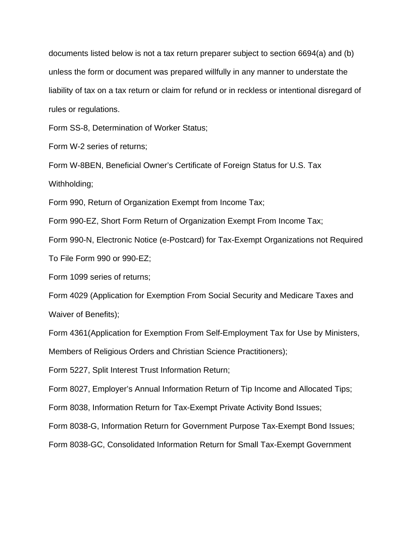documents listed below is not a tax return preparer subject to section 6694(a) and (b) unless the form or document was prepared willfully in any manner to understate the liability of tax on a tax return or claim for refund or in reckless or intentional disregard of rules or regulations.

Form SS-8, Determination of Worker Status;

Form W-2 series of returns;

Form W-8BEN, Beneficial Owner's Certificate of Foreign Status for U.S. Tax Withholding;

Form 990, Return of Organization Exempt from Income Tax;

Form 990-EZ, Short Form Return of Organization Exempt From Income Tax;

Form 990-N, Electronic Notice (e-Postcard) for Tax-Exempt Organizations not Required

To File Form 990 or 990-EZ;

Form 1099 series of returns;

Form 4029 (Application for Exemption From Social Security and Medicare Taxes and Waiver of Benefits);

Form 4361(Application for Exemption From Self-Employment Tax for Use by Ministers,

Members of Religious Orders and Christian Science Practitioners);

Form 5227, Split Interest Trust Information Return;

Form 8027, Employer's Annual Information Return of Tip Income and Allocated Tips;

Form 8038, Information Return for Tax-Exempt Private Activity Bond Issues;

Form 8038-G, Information Return for Government Purpose Tax-Exempt Bond Issues;

Form 8038-GC, Consolidated Information Return for Small Tax-Exempt Government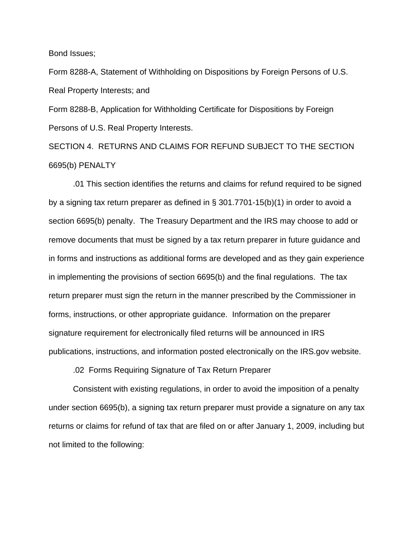Bond Issues;

Form 8288-A, Statement of Withholding on Dispositions by Foreign Persons of U.S. Real Property Interests; and

Form 8288-B, Application for Withholding Certificate for Dispositions by Foreign Persons of U.S. Real Property Interests.

SECTION 4. RETURNS AND CLAIMS FOR REFUND SUBJECT TO THE SECTION 6695(b) PENALTY

 .01 This section identifies the returns and claims for refund required to be signed by a signing tax return preparer as defined in § 301.7701-15(b)(1) in order to avoid a section 6695(b) penalty. The Treasury Department and the IRS may choose to add or remove documents that must be signed by a tax return preparer in future guidance and in forms and instructions as additional forms are developed and as they gain experience in implementing the provisions of section 6695(b) and the final regulations. The tax return preparer must sign the return in the manner prescribed by the Commissioner in forms, instructions, or other appropriate guidance. Information on the preparer signature requirement for electronically filed returns will be announced in IRS publications, instructions, and information posted electronically on the IRS.gov website.

.02 Forms Requiring Signature of Tax Return Preparer

 Consistent with existing regulations, in order to avoid the imposition of a penalty under section 6695(b), a signing tax return preparer must provide a signature on any tax returns or claims for refund of tax that are filed on or after January 1, 2009, including but not limited to the following: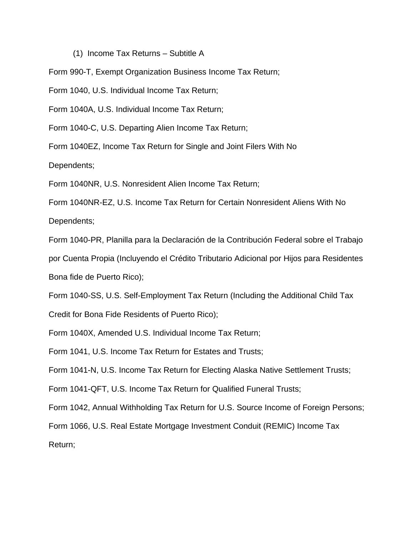# (1) Income Tax Returns – Subtitle A

Form 990-T, Exempt Organization Business Income Tax Return;

Form 1040, U.S. Individual Income Tax Return;

Form 1040A, U.S. Individual Income Tax Return;

Form 1040-C, U.S. Departing Alien Income Tax Return;

Form 1040EZ, Income Tax Return for Single and Joint Filers With No

Dependents;

Form 1040NR, U.S. Nonresident Alien Income Tax Return;

Form 1040NR-EZ, U.S. Income Tax Return for Certain Nonresident Aliens With No

Dependents;

Form 1040-PR, Planilla para la Declaración de la Contribución Federal sobre el Trabajo

por Cuenta Propia (Incluyendo el Crédito Tributario Adicional por Hijos para Residentes Bona fide de Puerto Rico);

Form 1040-SS, U.S. Self-Employment Tax Return (Including the Additional Child Tax Credit for Bona Fide Residents of Puerto Rico);

Form 1040X, Amended U.S. Individual Income Tax Return;

Form 1041, U.S. Income Tax Return for Estates and Trusts;

Form 1041-N, U.S. Income Tax Return for Electing Alaska Native Settlement Trusts;

Form 1041-QFT, U.S. Income Tax Return for Qualified Funeral Trusts;

Form 1042, Annual Withholding Tax Return for U.S. Source Income of Foreign Persons;

Form 1066, U.S. Real Estate Mortgage Investment Conduit (REMIC) Income Tax

Return;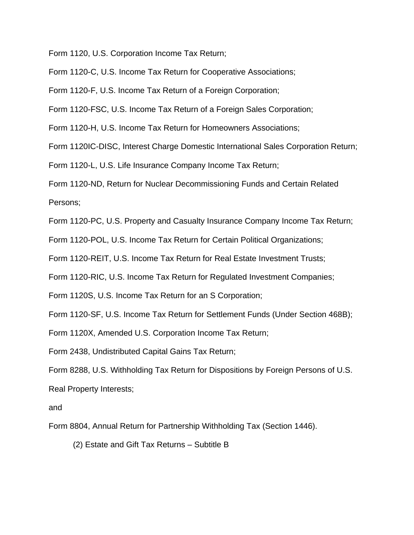Form 1120, U.S. Corporation Income Tax Return;

Form 1120-C, U.S. Income Tax Return for Cooperative Associations;

Form 1120-F, U.S. Income Tax Return of a Foreign Corporation;

Form 1120-FSC, U.S. Income Tax Return of a Foreign Sales Corporation;

Form 1120-H, U.S. Income Tax Return for Homeowners Associations;

Form 1120IC-DISC, Interest Charge Domestic International Sales Corporation Return;

Form 1120-L, U.S. Life Insurance Company Income Tax Return;

Form 1120-ND, Return for Nuclear Decommissioning Funds and Certain Related Persons;

Form 1120-PC, U.S. Property and Casualty Insurance Company Income Tax Return;

Form 1120-POL, U.S. Income Tax Return for Certain Political Organizations;

Form 1120-REIT, U.S. Income Tax Return for Real Estate Investment Trusts;

Form 1120-RIC, U.S. Income Tax Return for Regulated Investment Companies;

Form 1120S, U.S. Income Tax Return for an S Corporation;

Form 1120-SF, U.S. Income Tax Return for Settlement Funds (Under Section 468B);

Form 1120X, Amended U.S. Corporation Income Tax Return;

Form 2438, Undistributed Capital Gains Tax Return;

Form 8288, U.S. Withholding Tax Return for Dispositions by Foreign Persons of U.S. Real Property Interests;

and

Form 8804, Annual Return for Partnership Withholding Tax (Section 1446).

(2) Estate and Gift Tax Returns – Subtitle B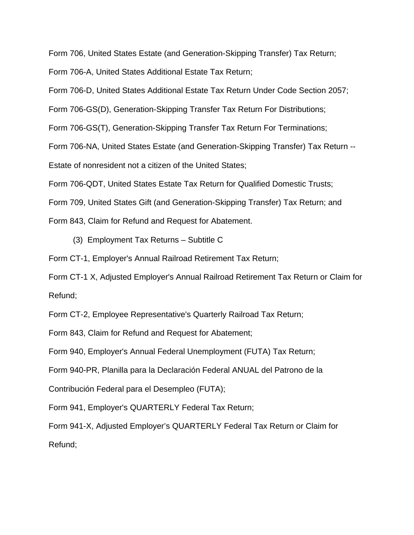Form 706, United States Estate (and Generation-Skipping Transfer) Tax Return;

Form 706-A, United States Additional Estate Tax Return;

Form 706-D, United States Additional Estate Tax Return Under Code Section 2057;

Form 706-GS(D), Generation-Skipping Transfer Tax Return For Distributions;

Form 706-GS(T), Generation-Skipping Transfer Tax Return For Terminations;

Form 706-NA, United States Estate (and Generation-Skipping Transfer) Tax Return --

Estate of nonresident not a citizen of the United States;

Form 706-QDT, United States Estate Tax Return for Qualified Domestic Trusts;

Form 709, United States Gift (and Generation-Skipping Transfer) Tax Return; and

Form 843, Claim for Refund and Request for Abatement.

(3) Employment Tax Returns – Subtitle C

Form CT-1, Employer's Annual Railroad Retirement Tax Return;

Form CT-1 X, Adjusted Employer's Annual Railroad Retirement Tax Return or Claim for Refund;

Form CT-2, Employee Representative's Quarterly Railroad Tax Return;

Form 843, Claim for Refund and Request for Abatement;

Form 940, Employer's Annual Federal Unemployment (FUTA) Tax Return;

Form 940-PR, Planilla para la Declaración Federal ANUAL del Patrono de la

Contribución Federal para el Desempleo (FUTA);

Form 941, Employer's QUARTERLY Federal Tax Return;

Form 941-X, Adjusted Employer's QUARTERLY Federal Tax Return or Claim for Refund;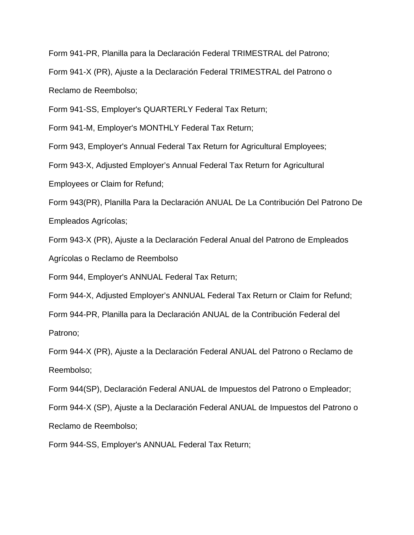Form 941-PR, Planilla para la Declaración Federal TRIMESTRAL del Patrono;

Form 941-X (PR), Ajuste a la Declaración Federal TRIMESTRAL del Patrono o Reclamo de Reembolso;

Form 941-SS, Employer's QUARTERLY Federal Tax Return;

Form 941-M, Employer's MONTHLY Federal Tax Return;

Form 943, Employer's Annual Federal Tax Return for Agricultural Employees;

Form 943-X, Adjusted Employer's Annual Federal Tax Return for Agricultural

Employees or Claim for Refund;

Form 943(PR), Planilla Para la Declaración ANUAL De La Contribución Del Patrono De Empleados Agrícolas;

Form 943-X (PR), Ajuste a la Declaración Federal Anual del Patrono de Empleados

Agrícolas o Reclamo de Reembolso

Form 944, Employer's ANNUAL Federal Tax Return;

Form 944-X, Adjusted Employer's ANNUAL Federal Tax Return or Claim for Refund;

Form 944-PR, Planilla para la Declaración ANUAL de la Contribución Federal del Patrono;

Form 944-X (PR), Ajuste a la Declaración Federal ANUAL del Patrono o Reclamo de Reembolso;

Form 944(SP), Declaración Federal ANUAL de Impuestos del Patrono o Empleador;

Form 944-X (SP), Ajuste a la Declaración Federal ANUAL de Impuestos del Patrono o Reclamo de Reembolso;

Form 944-SS, Employer's ANNUAL Federal Tax Return;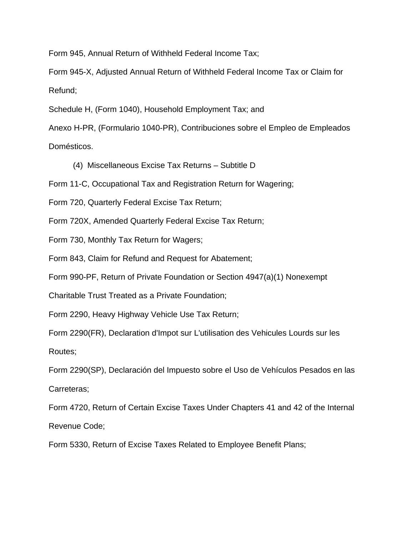Form 945, Annual Return of Withheld Federal Income Tax;

Form 945-X, Adjusted Annual Return of Withheld Federal Income Tax or Claim for Refund;

Schedule H, (Form 1040), Household Employment Tax; and

Anexo H-PR, (Formulario 1040-PR), Contribuciones sobre el Empleo de Empleados Domésticos.

(4) Miscellaneous Excise Tax Returns – Subtitle D

Form 11-C, Occupational Tax and Registration Return for Wagering;

Form 720, Quarterly Federal Excise Tax Return;

Form 720X, Amended Quarterly Federal Excise Tax Return;

Form 730, Monthly Tax Return for Wagers;

Form 843, Claim for Refund and Request for Abatement;

Form 990-PF, Return of Private Foundation or Section 4947(a)(1) Nonexempt

Charitable Trust Treated as a Private Foundation;

Form 2290, Heavy Highway Vehicle Use Tax Return;

Form 2290(FR), Declaration d'Impot sur L'utilisation des Vehicules Lourds sur les Routes;

Form 2290(SP), Declaración del Impuesto sobre el Uso de Vehículos Pesados en las Carreteras;

Form 4720, Return of Certain Excise Taxes Under Chapters 41 and 42 of the Internal Revenue Code;

Form 5330, Return of Excise Taxes Related to Employee Benefit Plans;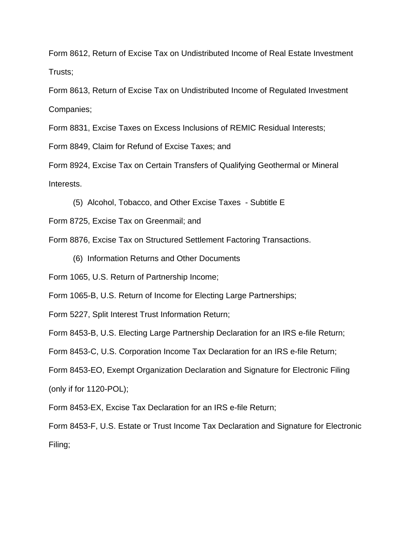Form 8612, Return of Excise Tax on Undistributed Income of Real Estate Investment Trusts;

Form 8613, Return of Excise Tax on Undistributed Income of Regulated Investment Companies;

Form 8831, Excise Taxes on Excess Inclusions of REMIC Residual Interests;

Form 8849, Claim for Refund of Excise Taxes; and

Form 8924, Excise Tax on Certain Transfers of Qualifying Geothermal or Mineral Interests.

(5) Alcohol, Tobacco, and Other Excise Taxes - Subtitle E

Form 8725, Excise Tax on Greenmail; and

Form 8876, Excise Tax on Structured Settlement Factoring Transactions.

(6) Information Returns and Other Documents

Form 1065, U.S. Return of Partnership Income;

Form 1065-B, U.S. Return of Income for Electing Large Partnerships;

Form 5227, Split Interest Trust Information Return;

Form 8453-B, U.S. Electing Large Partnership Declaration for an IRS e-file Return;

Form 8453-C, U.S. Corporation Income Tax Declaration for an IRS e-file Return;

Form 8453-EO, Exempt Organization Declaration and Signature for Electronic Filing (only if for 1120-POL);

Form 8453-EX, Excise Tax Declaration for an IRS e-file Return;

Form 8453-F, U.S. Estate or Trust Income Tax Declaration and Signature for Electronic Filing;